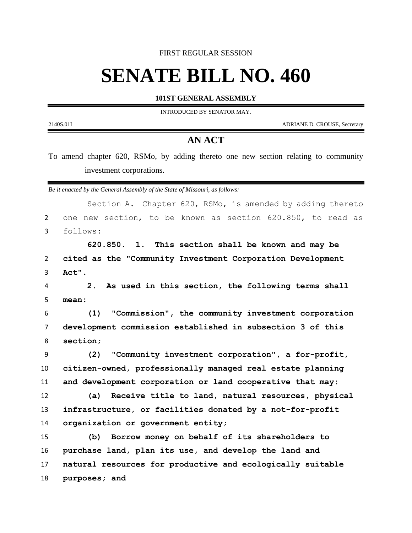FIRST REGULAR SESSION

## **SENATE BILL NO. 460**

**101ST GENERAL ASSEMBLY**

INTRODUCED BY SENATOR MAY.

2140S.01I ADRIANE D. CROUSE, Secretary

-

## **AN ACT**

To amend chapter 620, RSMo, by adding thereto one new section relating to community investment corporations.

*Be it enacted by the General Assembly of the State of Missouri, as follows:*

|                | Section A. Chapter 620, RSMo, is amended by adding thereto           |
|----------------|----------------------------------------------------------------------|
| $\overline{2}$ | one new section, to be known as section 620.850, to read as          |
| 3              | follows:                                                             |
|                | 620.850. 1. This section shall be known and may be                   |
| 2              | cited as the "Community Investment Corporation Development           |
| 3              | Act".                                                                |
| 4              | As used in this section, the following terms shall<br>2 <sub>1</sub> |
| 5              | mean:                                                                |
| 6              | "Commission", the community investment corporation<br>(1)            |
| $\overline{7}$ | development commission established in subsection 3 of this           |
| 8              | section;                                                             |
| 9              | "Community investment corporation", a for-profit,<br>(2)             |
| 10             | citizen-owned, professionally managed real estate planning           |
| 11             | and development corporation or land cooperative that may:            |
| 12             | (a) Receive title to land, natural resources, physical               |
| 13             | infrastructure, or facilities donated by a not-for-profit            |
| 14             | organization or government entity;                                   |
| 15             | Borrow money on behalf of its shareholders to<br>(b)                 |
| 16             | purchase land, plan its use, and develop the land and                |
| 17             | natural resources for productive and ecologically suitable           |
| 18             | purposes; and                                                        |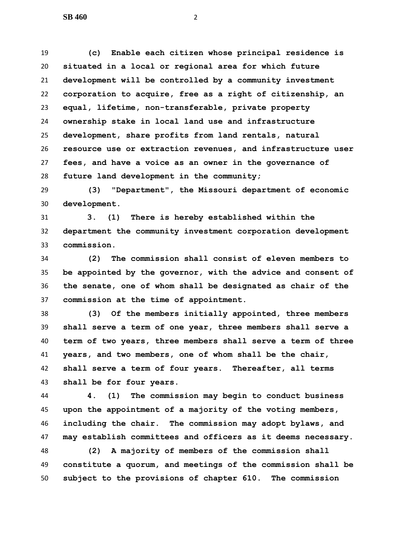**(c) Enable each citizen whose principal residence is situated in a local or regional area for which future development will be controlled by a community investment corporation to acquire, free as a right of citizenship, an equal, lifetime, non-transferable, private property ownership stake in local land use and infrastructure development, share profits from land rentals, natural resource use or extraction revenues, and infrastructure user fees, and have a voice as an owner in the governance of future land development in the community;**

 **(3) "Department", the Missouri department of economic development.**

 **3. (1) There is hereby established within the department the community investment corporation development commission.**

 **(2) The commission shall consist of eleven members to be appointed by the governor, with the advice and consent of the senate, one of whom shall be designated as chair of the commission at the time of appointment.**

 **(3) Of the members initially appointed, three members shall serve a term of one year, three members shall serve a term of two years, three members shall serve a term of three years, and two members, one of whom shall be the chair, shall serve a term of four years. Thereafter, all terms shall be for four years.**

 **4. (1) The commission may begin to conduct business upon the appointment of a majority of the voting members, including the chair. The commission may adopt bylaws, and may establish committees and officers as it deems necessary.**

 **(2) A majority of members of the commission shall constitute a quorum, and meetings of the commission shall be subject to the provisions of chapter 610. The commission**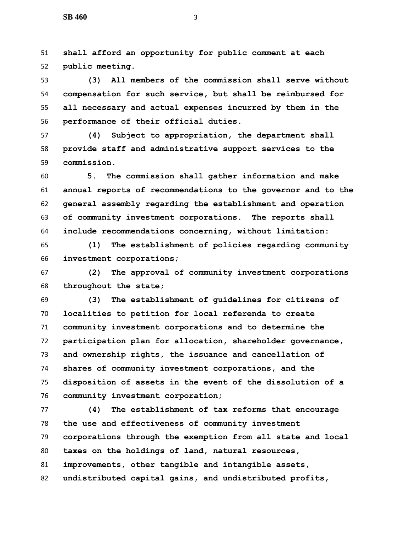**shall afford an opportunity for public comment at each public meeting.**

 **(3) All members of the commission shall serve without compensation for such service, but shall be reimbursed for all necessary and actual expenses incurred by them in the performance of their official duties.**

 **(4) Subject to appropriation, the department shall provide staff and administrative support services to the commission.**

 **5. The commission shall gather information and make annual reports of recommendations to the governor and to the general assembly regarding the establishment and operation of community investment corporations. The reports shall include recommendations concerning, without limitation:**

 **(1) The establishment of policies regarding community investment corporations;**

 **(2) The approval of community investment corporations throughout the state;**

 **(3) The establishment of guidelines for citizens of localities to petition for local referenda to create community investment corporations and to determine the participation plan for allocation, shareholder governance, and ownership rights, the issuance and cancellation of shares of community investment corporations, and the disposition of assets in the event of the dissolution of a community investment corporation;**

 **(4) The establishment of tax reforms that encourage the use and effectiveness of community investment corporations through the exemption from all state and local taxes on the holdings of land, natural resources, improvements, other tangible and intangible assets, undistributed capital gains, and undistributed profits,**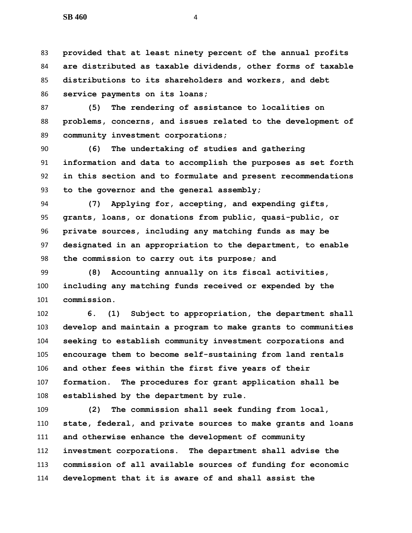**provided that at least ninety percent of the annual profits are distributed as taxable dividends, other forms of taxable distributions to its shareholders and workers, and debt service payments on its loans;**

 **(5) The rendering of assistance to localities on problems, concerns, and issues related to the development of community investment corporations;**

 **(6) The undertaking of studies and gathering information and data to accomplish the purposes as set forth in this section and to formulate and present recommendations to the governor and the general assembly;**

 **(7) Applying for, accepting, and expending gifts, grants, loans, or donations from public, quasi-public, or private sources, including any matching funds as may be designated in an appropriation to the department, to enable the commission to carry out its purpose; and**

 **(8) Accounting annually on its fiscal activities, including any matching funds received or expended by the commission.**

 **6. (1) Subject to appropriation, the department shall develop and maintain a program to make grants to communities seeking to establish community investment corporations and encourage them to become self-sustaining from land rentals and other fees within the first five years of their formation. The procedures for grant application shall be established by the department by rule.**

 **(2) The commission shall seek funding from local, state, federal, and private sources to make grants and loans and otherwise enhance the development of community investment corporations. The department shall advise the commission of all available sources of funding for economic development that it is aware of and shall assist the**